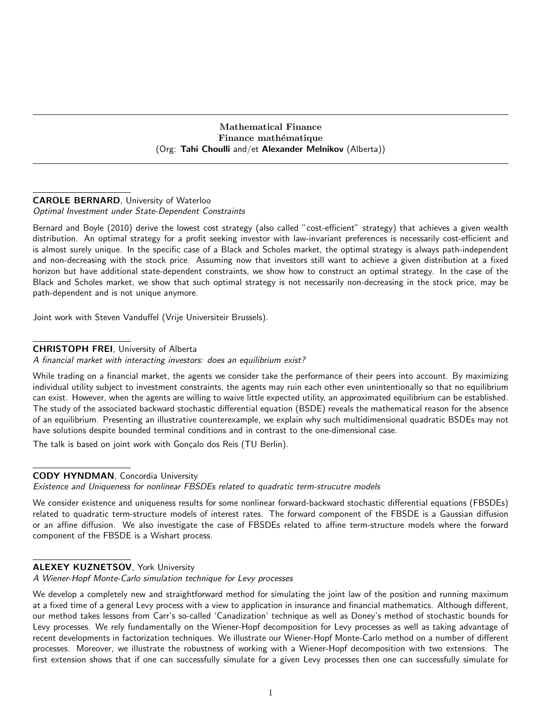#### Mathematical Finance Finance mathématique (Org: Tahi Choulli and/et Alexander Melnikov (Alberta))

# CAROLE BERNARD, University of Waterloo

## Optimal Investment under State-Dependent Constraints

Bernard and Boyle (2010) derive the lowest cost strategy (also called "cost-efficient" strategy) that achieves a given wealth distribution. An optimal strategy for a profit seeking investor with law-invariant preferences is necessarily cost-efficient and is almost surely unique. In the specific case of a Black and Scholes market, the optimal strategy is always path-independent and non-decreasing with the stock price. Assuming now that investors still want to achieve a given distribution at a fixed horizon but have additional state-dependent constraints, we show how to construct an optimal strategy. In the case of the Black and Scholes market, we show that such optimal strategy is not necessarily non-decreasing in the stock price, may be path-dependent and is not unique anymore.

Joint work with Steven Vanduffel (Vrije Universiteir Brussels).

## CHRISTOPH FREI, University of Alberta

A financial market with interacting investors: does an equilibrium exist?

While trading on a financial market, the agents we consider take the performance of their peers into account. By maximizing individual utility subject to investment constraints, the agents may ruin each other even unintentionally so that no equilibrium can exist. However, when the agents are willing to waive little expected utility, an approximated equilibrium can be established. The study of the associated backward stochastic differential equation (BSDE) reveals the mathematical reason for the absence of an equilibrium. Presenting an illustrative counterexample, we explain why such multidimensional quadratic BSDEs may not have solutions despite bounded terminal conditions and in contrast to the one-dimensional case.

The talk is based on joint work with Gonçalo dos Reis (TU Berlin).

## CODY HYNDMAN, Concordia University

Existence and Uniqueness for nonlinear FBSDEs related to quadratic term-strucutre models

We consider existence and uniqueness results for some nonlinear forward-backward stochastic differential equations (FBSDEs) related to quadratic term-structure models of interest rates. The forward component of the FBSDE is a Gaussian diffusion or an affine diffusion. We also investigate the case of FBSDEs related to affine term-structure models where the forward component of the FBSDE is a Wishart process.

## ALEXEY KUZNETSOV, York University

A Wiener-Hopf Monte-Carlo simulation technique for Levy processes

We develop a completely new and straightforward method for simulating the joint law of the position and running maximum at a fixed time of a general Levy process with a view to application in insurance and financial mathematics. Although different, our method takes lessons from Carr's so-called 'Canadization' technique as well as Doney's method of stochastic bounds for Levy processes. We rely fundamentally on the Wiener-Hopf decomposition for Levy processes as well as taking advantage of recent developments in factorization techniques. We illustrate our Wiener-Hopf Monte-Carlo method on a number of different processes. Moreover, we illustrate the robustness of working with a Wiener-Hopf decomposition with two extensions. The first extension shows that if one can successfully simulate for a given Levy processes then one can successfully simulate for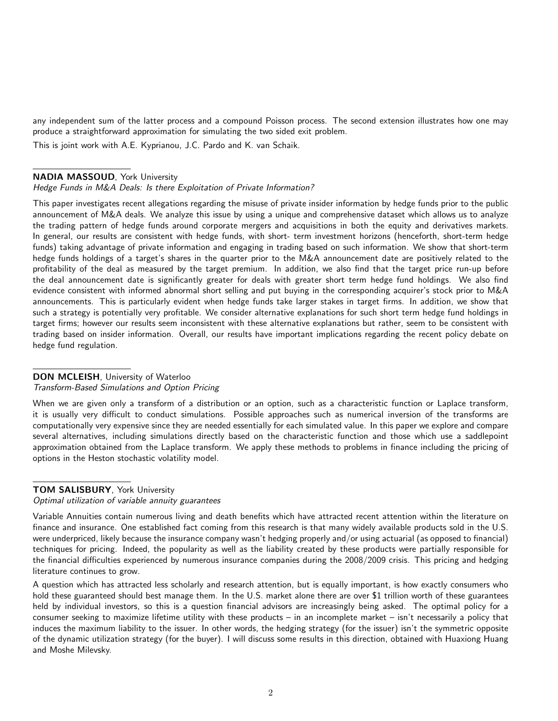any independent sum of the latter process and a compound Poisson process. The second extension illustrates how one may produce a straightforward approximation for simulating the two sided exit problem.

This is joint work with A.E. Kyprianou, J.C. Pardo and K. van Schaik.

#### NADIA MASSOUD, York University

Hedge Funds in M&A Deals: Is there Exploitation of Private Information?

This paper investigates recent allegations regarding the misuse of private insider information by hedge funds prior to the public announcement of M&A deals. We analyze this issue by using a unique and comprehensive dataset which allows us to analyze the trading pattern of hedge funds around corporate mergers and acquisitions in both the equity and derivatives markets. In general, our results are consistent with hedge funds, with short- term investment horizons (henceforth, short-term hedge funds) taking advantage of private information and engaging in trading based on such information. We show that short-term hedge funds holdings of a target's shares in the quarter prior to the M&A announcement date are positively related to the profitability of the deal as measured by the target premium. In addition, we also find that the target price run-up before the deal announcement date is significantly greater for deals with greater short term hedge fund holdings. We also find evidence consistent with informed abnormal short selling and put buying in the corresponding acquirer's stock prior to M&A announcements. This is particularly evident when hedge funds take larger stakes in target firms. In addition, we show that such a strategy is potentially very profitable. We consider alternative explanations for such short term hedge fund holdings in target firms; however our results seem inconsistent with these alternative explanations but rather, seem to be consistent with trading based on insider information. Overall, our results have important implications regarding the recent policy debate on hedge fund regulation.

#### DON MCLEISH, University of Waterloo

Transform-Based Simulations and Option Pricing

When we are given only a transform of a distribution or an option, such as a characteristic function or Laplace transform, it is usually very difficult to conduct simulations. Possible approaches such as numerical inversion of the transforms are computationally very expensive since they are needed essentially for each simulated value. In this paper we explore and compare several alternatives, including simulations directly based on the characteristic function and those which use a saddlepoint approximation obtained from the Laplace transform. We apply these methods to problems in finance including the pricing of options in the Heston stochastic volatility model.

#### TOM SALISBURY, York University

Optimal utilization of variable annuity guarantees

Variable Annuities contain numerous living and death benefits which have attracted recent attention within the literature on finance and insurance. One established fact coming from this research is that many widely available products sold in the U.S. were underpriced, likely because the insurance company wasn't hedging properly and/or using actuarial (as opposed to financial) techniques for pricing. Indeed, the popularity as well as the liability created by these products were partially responsible for the financial difficulties experienced by numerous insurance companies during the 2008/2009 crisis. This pricing and hedging literature continues to grow.

A question which has attracted less scholarly and research attention, but is equally important, is how exactly consumers who hold these guaranteed should best manage them. In the U.S. market alone there are over \$1 trillion worth of these guarantees held by individual investors, so this is a question financial advisors are increasingly being asked. The optimal policy for a consumer seeking to maximize lifetime utility with these products – in an incomplete market – isn't necessarily a policy that induces the maximum liability to the issuer. In other words, the hedging strategy (for the issuer) isn't the symmetric opposite of the dynamic utilization strategy (for the buyer). I will discuss some results in this direction, obtained with Huaxiong Huang and Moshe Milevsky.